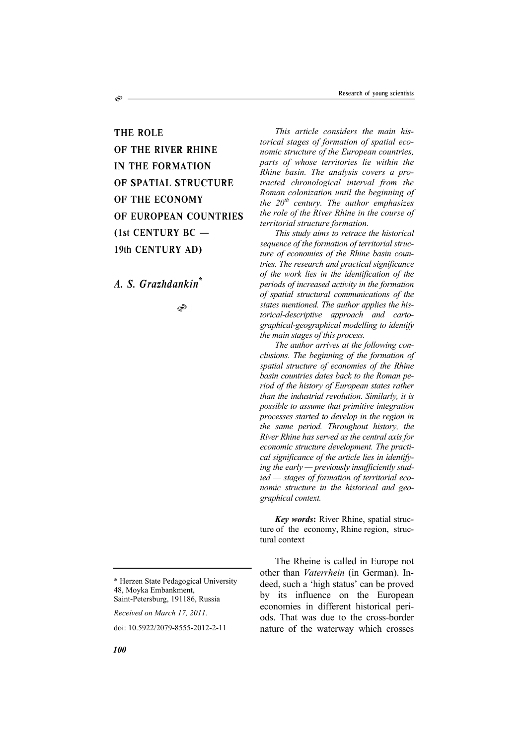THE ROLE OF THE RIVER RHINE IN THE FORMATION OF SPATIAL STRUCTURE OF THE ECONOMY OF EUROPEAN COUNTRIES (1st CENTURY BC — 19th CENTURY AD)

*A. S. Grazhdankin\**

S

S

\* Herzen State Pedagogical University 48, Moyka Embankment, Saint-Petersburg, 191186, Russia

*Received on March 17, 2011.* 

doi: 10.5922/2079-8555-2012-2-11

*This article considers the main historical stages of formation of spatial economic structure of the European countries, parts of whose territories lie within the Rhine basin. The analysis covers a protracted chronological interval from the Roman colonization until the beginning of the 20th century. The author emphasizes the role of the River Rhine in the course of territorial structure formation.* 

*This study aims to retrace the historical sequence of the formation of territorial structure of economies of the Rhine basin countries. The research and practical significance of the work lies in the identification of the periods of increased activity in the formation of spatial structural communications of the states mentioned. The author applies the historical-descriptive approach and cartographical-geographical modelling to identify the main stages of this process.* 

*The author arrives at the following conclusions. The beginning of the formation of spatial structure of economies of the Rhine basin countries dates back to the Roman period of the history of European states rather than the industrial revolution. Similarly, it is possible to assume that primitive integration processes started to develop in the region in the same period. Throughout history, the River Rhine has served as the central axis for economic structure development. The practical significance of the article lies in identifying the early — previously insufficiently studied — stages of formation of territorial economic structure in the historical and geographical context.*

*Key words***:** River Rhine, spatial structure of the economy, Rhine region, structural context

The Rheine is called in Europe not other than *Vaterrhein* (in German). Indeed, such a 'high status' can be proved by its influence on the European economies in different historical periods. That was due to the cross-border nature of the waterway which crosses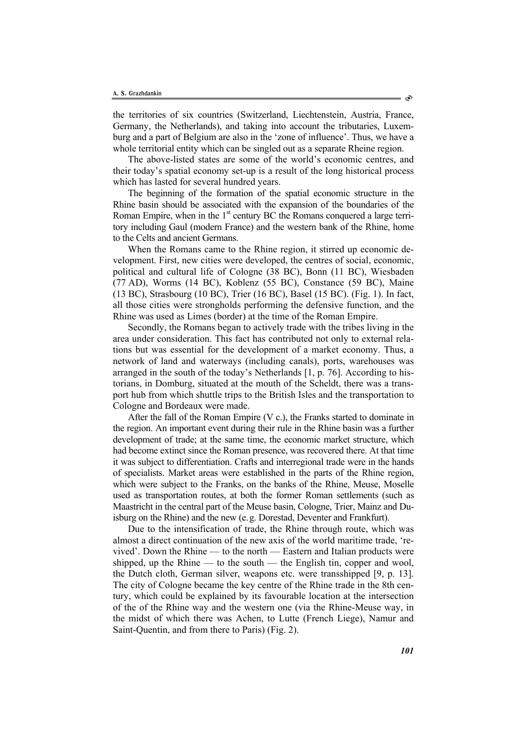the territories of six countries (Switzerland, Liechtenstein, Austria, France, Germany, the Netherlands), and taking into account the tributaries, Luxemburg and a part of Belgium are also in the 'zone of influence'. Thus, we have a whole territorial entity which can be singled out as a separate Rheine region.

The above-listed states are some of the world's economic centres, and their today's spatial economy set-up is a result of the long historical process which has lasted for several hundred years.

The beginning of the formation of the spatial economic structure in the Rhine basin should be associated with the expansion of the boundaries of the Roman Empire, when in the 1<sup>st</sup> century BC the Romans conquered a large territory including Gaul (modern France) and the western bank of the Rhine, home to the Celts and ancient Germans.

When the Romans came to the Rhine region, it stirred up economic development. First, new cities were developed, the centres of social, economic, political and cultural life of Cologne (38 BC), Bonn (11 BC), Wiesbaden (77 AD), Worms (14 BC), Koblenz (55 BC), Constance (59 BC), Maine (13 BC), Strasbourg (10 BC), Trier (16 BC), Basel (15 BC). (Fig. 1). In fact, all those cities were strongholds performing the defensive function, and the Rhine was used as Limes (border) at the time of the Roman Empire.

Secondly, the Romans began to actively trade with the tribes living in the area under consideration. This fact has contributed not only to external relations but was essential for the development of a market economy. Thus, a network of land and waterways (including canals), ports, warehouses was arranged in the south of the today's Netherlands [1, p. 76]. According to historians, in Domburg, situated at the mouth of the Scheldt, there was a transport hub from which shuttle trips to the British Isles and the transportation to Cologne and Bordeaux were made.

After the fall of the Roman Empire (V c.), the Franks started to dominate in the region. An important event during their rule in the Rhine basin was a further development of trade; at the same time, the economic market structure, which had become extinct since the Roman presence, was recovered there. At that time it was subject to differentiation. Crafts and interregional trade were in the hands of specialists. Market areas were established in the parts of the Rhine region, which were subject to the Franks, on the banks of the Rhine, Meuse, Moselle used as transportation routes, at both the former Roman settlements (such as Maastricht in the central part of the Meuse basin, Cologne, Trier, Mainz and Duisburg on the Rhine) and the new (e.g. Dorestad, Deventer and Frankfurt).

Due to the intensification of trade, the Rhine through route, which was almost a direct continuation of the new axis of the world maritime trade, 'revived'. Down the Rhine — to the north — Eastern and Italian products were shipped, up the Rhine — to the south — the English tin, copper and wool, the Dutch cloth, German silver, weapons etc. were transshipped [9, p. 13]. The city of Cologne became the key centre of the Rhine trade in the 8th century, which could be explained by its favourable location at the intersection of the of the Rhine way and the western one (via the Rhine-Meuse way, in the midst of which there was Achen, to Lutte (French Liege), Namur and Saint-Quentin, and from there to Paris) (Fig. 2).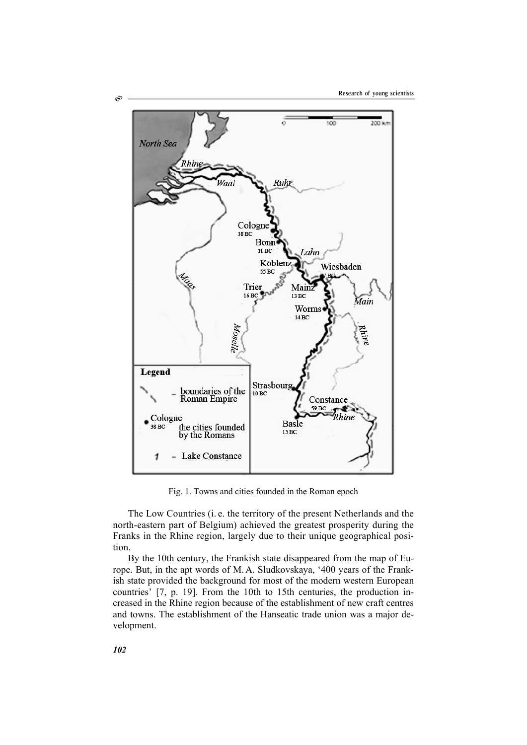

Fig. 1. Towns and cities founded in the Roman epoch

The Low Countries (i. e. the territory of the present Netherlands and the north-eastern part of Belgium) achieved the greatest prosperity during the Franks in the Rhine region, largely due to their unique geographical position.

By the 10th century, the Frankish state disappeared from the map of Europe. But, in the apt words of M.A. Sludkovskaya, '400 years of the Frankish state provided the background for most of the modern western European countries' [7, p. 19]. From the 10th to 15th centuries, the production increased in the Rhine region because of the establishment of new craft centres and towns. The establishment of the Hanseatic trade union was a major development.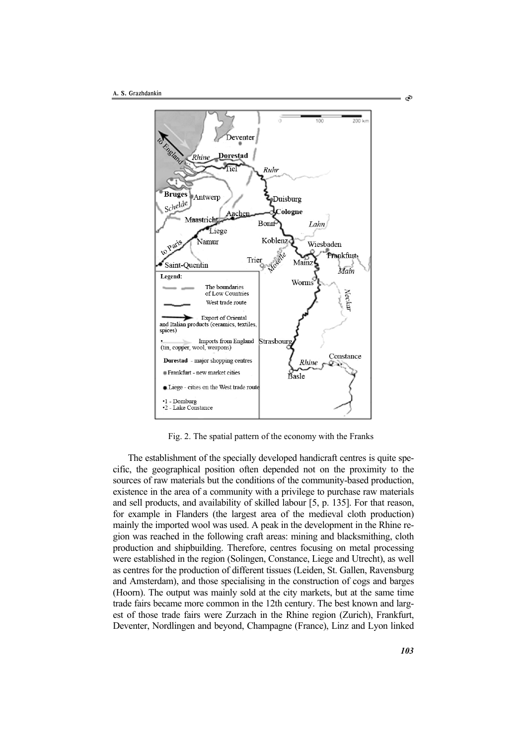

Fig. 2. The spatial pattern of the economy with the Franks

The establishment of the specially developed handicraft centres is quite specific, the geographical position often depended not on the proximity to the sources of raw materials but the conditions of the community-based production, existence in the area of a community with a privilege to purchase raw materials and sell products, and availability of skilled labour [5, p. 135]. For that reason, for example in Flanders (the largest area of the medieval cloth production) mainly the imported wool was used. A peak in the development in the Rhine region was reached in the following craft areas: mining and blacksmithing, cloth production and shipbuilding. Therefore, centres focusing on metal processing were established in the region (Solingen, Constance, Liege and Utrecht), as well as centres for the production of different tissues (Leiden, St. Gallen, Ravensburg and Amsterdam), and those specialising in the construction of cogs and barges (Hoorn). The output was mainly sold at the city markets, but at the same time trade fairs became more common in the 12th century. The best known and largest of those trade fairs were Zurzach in the Rhine region (Zurich), Frankfurt, Deventer, Nordlingen and beyond, Champagne (France), Linz and Lyon linked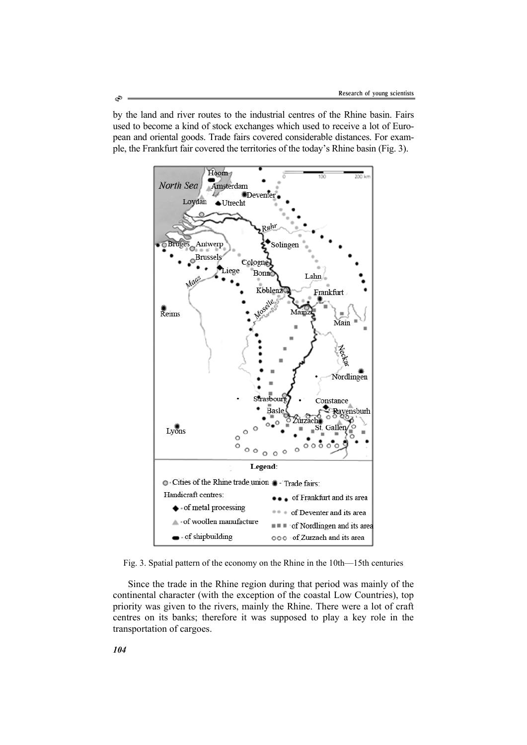by the land and river routes to the industrial centres of the Rhine basin. Fairs used to become a kind of stock exchanges which used to receive a lot of European and oriental goods. Trade fairs covered considerable distances. For example, the Frankfurt fair covered the territories of the today's Rhine basin (Fig. 3).



Fig. 3. Spatial pattern of the economy on the Rhine in the 10th—15th centuries

Since the trade in the Rhine region during that period was mainly of the continental character (with the exception of the coastal Low Countries), top priority was given to the rivers, mainly the Rhine. There were a lot of craft centres on its banks; therefore it was supposed to play a key role in the transportation of cargoes.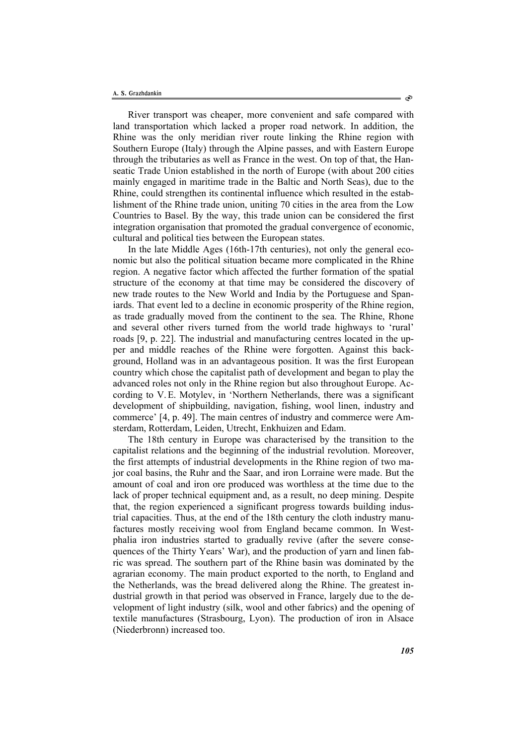River transport was cheaper, more convenient and safe compared with land transportation which lacked a proper road network. In addition, the Rhine was the only meridian river route linking the Rhine region with Southern Europe (Italy) through the Alpine passes, and with Eastern Europe through the tributaries as well as France in the west. On top of that, the Hanseatic Trade Union established in the north of Europe (with about 200 cities mainly engaged in maritime trade in the Baltic and North Seas), due to the Rhine, could strengthen its continental influence which resulted in the establishment of the Rhine trade union, uniting 70 cities in the area from the Low Countries to Basel. By the way, this trade union can be considered the first integration organisation that promoted the gradual convergence of economic, cultural and political ties between the European states.

In the late Middle Ages (16th-17th centuries), not only the general economic but also the political situation became more complicated in the Rhine region. A negative factor which affected the further formation of the spatial structure of the economy at that time may be considered the discovery of new trade routes to the New World and India by the Portuguese and Spaniards. That event led to a decline in economic prosperity of the Rhine region, as trade gradually moved from the continent to the sea. The Rhine, Rhone and several other rivers turned from the world trade highways to 'rural' roads [9, p. 22]. The industrial and manufacturing centres located in the upper and middle reaches of the Rhine were forgotten. Against this background, Holland was in an advantageous position. It was the first European country which chose the capitalist path of development and began to play the advanced roles not only in the Rhine region but also throughout Europe. According to V.E. Motylev, in 'Northern Netherlands, there was a significant development of shipbuilding, navigation, fishing, wool linen, industry and commerce' [4, p. 49]. The main centres of industry and commerce were Amsterdam, Rotterdam, Leiden, Utrecht, Enkhuizen and Edam.

The 18th century in Europe was characterised by the transition to the capitalist relations and the beginning of the industrial revolution. Moreover, the first attempts of industrial developments in the Rhine region of two major coal basins, the Ruhr and the Saar, and iron Lorraine were made. But the amount of coal and iron ore produced was worthless at the time due to the lack of proper technical equipment and, as a result, no deep mining. Despite that, the region experienced a significant progress towards building industrial capacities. Thus, at the end of the 18th century the cloth industry manufactures mostly receiving wool from England became common. In Westphalia iron industries started to gradually revive (after the severe consequences of the Thirty Years' War), and the production of yarn and linen fabric was spread. The southern part of the Rhine basin was dominated by the agrarian economy. The main product exported to the north, to England and the Netherlands, was the bread delivered along the Rhine. The greatest industrial growth in that period was observed in France, largely due to the development of light industry (silk, wool and other fabrics) and the opening of textile manufactures (Strasbourg, Lyon). The production of iron in Alsace (Niederbronn) increased too.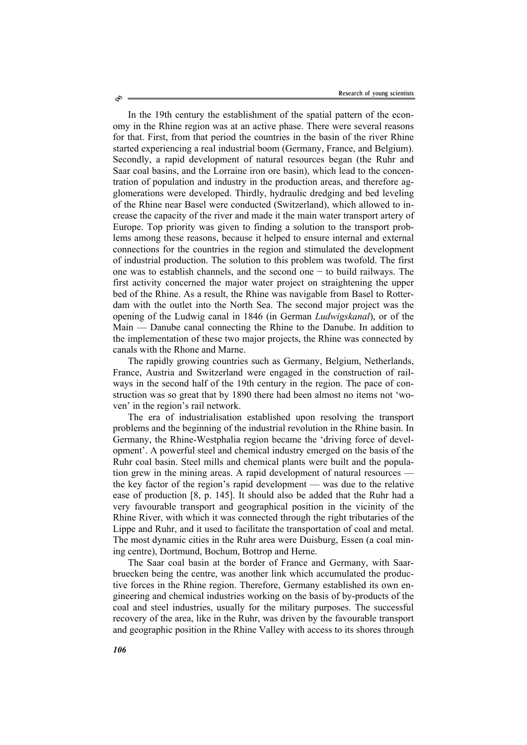In the 19th century the establishment of the spatial pattern of the economy in the Rhine region was at an active phase. There were several reasons for that. First, from that period the countries in the basin of the river Rhine started experiencing a real industrial boom (Germany, France, and Belgium). Secondly, a rapid development of natural resources began (the Ruhr and Saar coal basins, and the Lorraine iron ore basin), which lead to the concentration of population and industry in the production areas, and therefore agglomerations were developed. Thirdly, hydraulic dredging and bed leveling of the Rhine near Basel were conducted (Switzerland), which allowed to increase the capacity of the river and made it the main water transport artery of Europe. Top priority was given to finding a solution to the transport problems among these reasons, because it helped to ensure internal and external connections for the countries in the region and stimulated the development of industrial production. The solution to this problem was twofold. The first one was to establish channels, and the second one − to build railways. The first activity concerned the major water project on straightening the upper bed of the Rhine. As a result, the Rhine was navigable from Basel to Rotterdam with the outlet into the North Sea. The second major project was the opening of the Ludwig canal in 1846 (in German *Ludwigskanal*), or of the Main — Danube canal connecting the Rhine to the Danube. In addition to the implementation of these two major projects, the Rhine was connected by canals with the Rhone and Marne.

The rapidly growing countries such as Germany, Belgium, Netherlands, France, Austria and Switzerland were engaged in the construction of railways in the second half of the 19th century in the region. The pace of construction was so great that by 1890 there had been almost no items not 'woven' in the region's rail network.

The era of industrialisation established upon resolving the transport problems and the beginning of the industrial revolution in the Rhine basin. In Germany, the Rhine-Westphalia region became the 'driving force of development'. A powerful steel and chemical industry emerged on the basis of the Ruhr coal basin. Steel mills and chemical plants were built and the population grew in the mining areas. A rapid development of natural resources the key factor of the region's rapid development — was due to the relative ease of production [8, p. 145]. It should also be added that the Ruhr had a very favourable transport and geographical position in the vicinity of the Rhine River, with which it was connected through the right tributaries of the Lippe and Ruhr, and it used to facilitate the transportation of coal and metal. The most dynamic cities in the Ruhr area were Duisburg, Essen (a coal mining centre), Dortmund, Bochum, Bottrop and Herne.

The Saar coal basin at the border of France and Germany, with Saarbruecken being the centre, was another link which accumulated the productive forces in the Rhine region. Therefore, Germany established its own engineering and chemical industries working on the basis of by-products of the coal and steel industries, usually for the military purposes. The successful recovery of the area, like in the Ruhr, was driven by the favourable transport and geographic position in the Rhine Valley with access to its shores through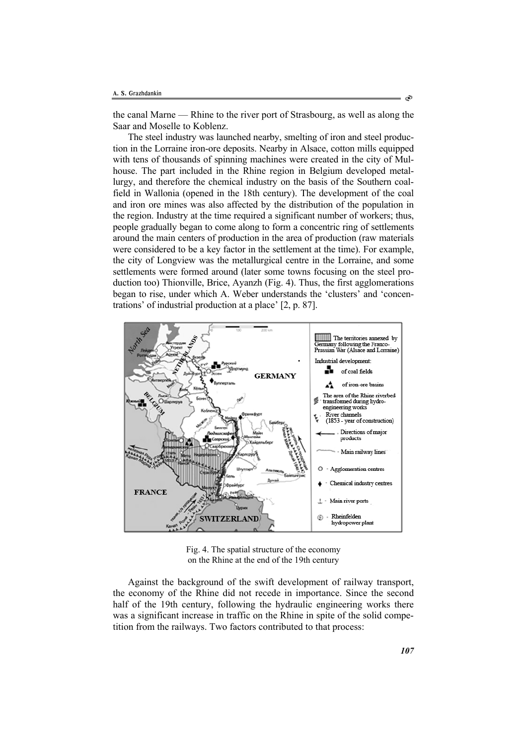the canal Marne — Rhine to the river port of Strasbourg, as well as along the Saar and Moselle to Koblenz.

The steel industry was launched nearby, smelting of iron and steel production in the Lorraine iron-ore deposits. Nearby in Alsace, cotton mills equipped with tens of thousands of spinning machines were created in the city of Mulhouse. The part included in the Rhine region in Belgium developed metallurgy, and therefore the chemical industry on the basis of the Southern coalfield in Wallonia (opened in the 18th century). The development of the coal and iron ore mines was also affected by the distribution of the population in the region. Industry at the time required a significant number of workers; thus, people gradually began to come along to form a concentric ring of settlements around the main centers of production in the area of production (raw materials were considered to be a key factor in the settlement at the time). For example, the city of Longview was the metallurgical centre in the Lorraine, and some settlements were formed around (later some towns focusing on the steel production too) Thionville, Brice, Ayanzh (Fig. 4). Thus, the first agglomerations began to rise, under which A. Weber understands the 'clusters' and 'concentrations' of industrial production at a place' [2, p. 87].



Fig. 4. The spatial structure of the economy on the Rhine at the end of the 19th century

Against the background of the swift development of railway transport, the economy of the Rhine did not recede in importance. Since the second half of the 19th century, following the hydraulic engineering works there was a significant increase in traffic on the Rhine in spite of the solid competition from the railways. Two factors contributed to that process: